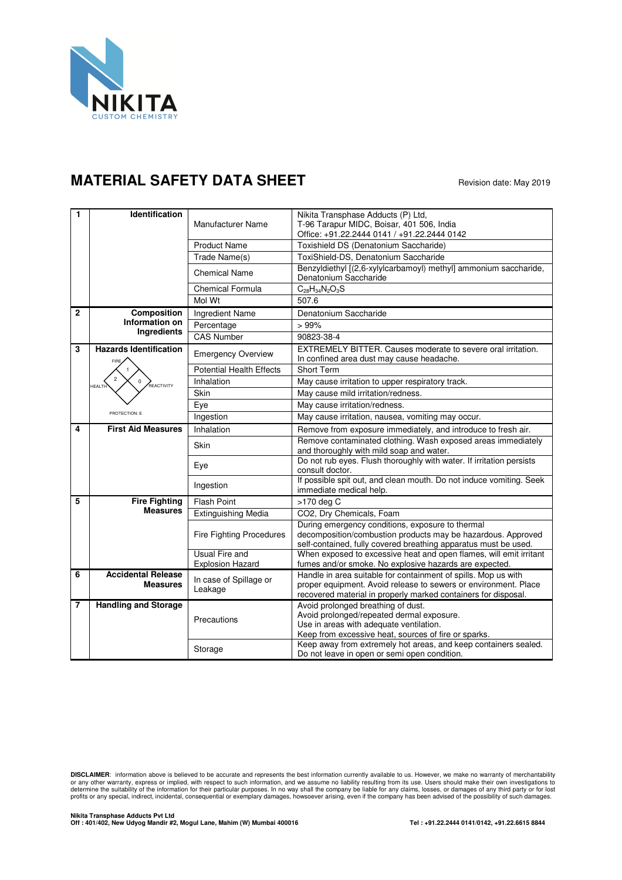

## **MATERIAL SAFETY DATA SHEET** Revision date: May 2019

| $\mathbf{1}$   | <b>Identification</b>                              | Manufacturer Name                         | Nikita Transphase Adducts (P) Ltd,<br>T-96 Tarapur MIDC, Boisar, 401 506, India<br>Office: +91.22.2444 0141 / +91.22.2444 0142                                                                      |
|----------------|----------------------------------------------------|-------------------------------------------|-----------------------------------------------------------------------------------------------------------------------------------------------------------------------------------------------------|
|                |                                                    | <b>Product Name</b>                       | Toxishield DS (Denatonium Saccharide)                                                                                                                                                               |
|                |                                                    | Trade Name(s)                             | ToxiShield-DS. Denatonium Saccharide                                                                                                                                                                |
|                |                                                    | <b>Chemical Name</b>                      | Benzyldiethyl [(2,6-xylylcarbamoyl) methyl] ammonium saccharide,<br>Denatonium Saccharide                                                                                                           |
|                |                                                    | Chemical Formula                          | $C_{28}H_{34}N_2O_3S$                                                                                                                                                                               |
|                |                                                    | Mol Wt                                    | 507.6                                                                                                                                                                                               |
| $\overline{2}$ | Composition                                        | Ingredient Name                           | Denatonium Saccharide                                                                                                                                                                               |
|                | Information on                                     | Percentage                                | >99%                                                                                                                                                                                                |
|                | <b>Ingredients</b>                                 | <b>CAS Number</b>                         | 90823-38-4                                                                                                                                                                                          |
| 3              | <b>Hazards Identification</b><br>FIRE.             | <b>Emergency Overview</b>                 | EXTREMELY BITTER. Causes moderate to severe oral irritation.<br>In confined area dust may cause headache.                                                                                           |
|                |                                                    | <b>Potential Health Effects</b>           | <b>Short Term</b>                                                                                                                                                                                   |
|                | $\overline{2}$<br>,<br>REACTIVITY<br><b>HEALTH</b> | Inhalation                                | May cause irritation to upper respiratory track.                                                                                                                                                    |
|                |                                                    | Skin                                      | May cause mild irritation/redness.                                                                                                                                                                  |
|                |                                                    | Eye                                       | May cause irritation/redness.                                                                                                                                                                       |
|                | PROTECTION: E                                      | Ingestion                                 | May cause irritation, nausea, vomiting may occur.                                                                                                                                                   |
| 4              | <b>First Aid Measures</b>                          | Inhalation                                | Remove from exposure immediately, and introduce to fresh air.                                                                                                                                       |
|                |                                                    | <b>Skin</b>                               | Remove contaminated clothing. Wash exposed areas immediately<br>and thoroughly with mild soap and water.                                                                                            |
|                |                                                    | Eye                                       | Do not rub eyes. Flush thoroughly with water. If irritation persists<br>consult doctor.                                                                                                             |
|                |                                                    | Ingestion                                 | If possible spit out, and clean mouth. Do not induce vomiting. Seek<br>immediate medical help.                                                                                                      |
| 5              | <b>Fire Fighting</b>                               | Flash Point                               | >170 deg C                                                                                                                                                                                          |
|                | <b>Measures</b>                                    | <b>Extinguishing Media</b>                | CO2, Dry Chemicals, Foam                                                                                                                                                                            |
|                |                                                    | <b>Fire Fighting Procedures</b>           | During emergency conditions, exposure to thermal<br>decomposition/combustion products may be hazardous. Approved<br>self-contained, fully covered breathing apparatus must be used.                 |
|                |                                                    | Usual Fire and<br><b>Explosion Hazard</b> | When exposed to excessive heat and open flames, will emit irritant<br>fumes and/or smoke. No explosive hazards are expected.                                                                        |
| 6              | <b>Accidental Release</b><br><b>Measures</b>       | In case of Spillage or<br>Leakage         | Handle in area suitable for containment of spills. Mop us with<br>proper equipment. Avoid release to sewers or environment. Place<br>recovered material in properly marked containers for disposal. |
| $\overline{7}$ | <b>Handling and Storage</b>                        | Precautions                               | Avoid prolonged breathing of dust.<br>Avoid prolonged/repeated dermal exposure.<br>Use in areas with adequate ventilation.<br>Keep from excessive heat, sources of fire or sparks.                  |
|                |                                                    | Storage                                   | Keep away from extremely hot areas, and keep containers sealed.<br>Do not leave in open or semi open condition.                                                                                     |

**DISCLAIMER**: information above is believed to be accurate and represents the best information currently available to us. However, we make no warranty of merchantability<br>or any other warranty, express or implied, with resp profits or any special, indirect, incidental, consequential or exemplary damages, howsoever arising, even if the company has been advised of the possibility of such damages.